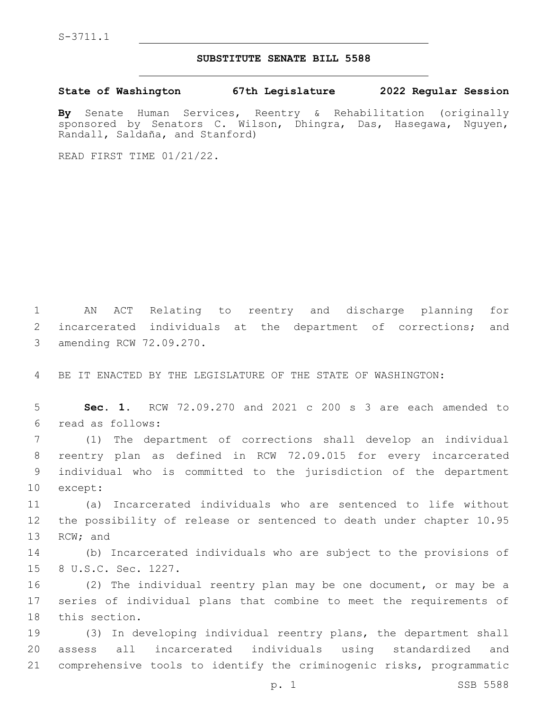S-3711.1

## **SUBSTITUTE SENATE BILL 5588**

**State of Washington 67th Legislature 2022 Regular Session**

**By** Senate Human Services, Reentry & Rehabilitation (originally sponsored by Senators C. Wilson, Dhingra, Das, Hasegawa, Nguyen, Randall, Saldaña, and Stanford)

READ FIRST TIME 01/21/22.

1 AN ACT Relating to reentry and discharge planning for 2 incarcerated individuals at the department of corrections; and 3 amending RCW 72.09.270.

4 BE IT ENACTED BY THE LEGISLATURE OF THE STATE OF WASHINGTON:

5 **Sec. 1.** RCW 72.09.270 and 2021 c 200 s 3 are each amended to read as follows:6

 (1) The department of corrections shall develop an individual reentry plan as defined in RCW 72.09.015 for every incarcerated individual who is committed to the jurisdiction of the department 10 except:

11 (a) Incarcerated individuals who are sentenced to life without 12 the possibility of release or sentenced to death under chapter 10.95 13 RCW; and

14 (b) Incarcerated individuals who are subject to the provisions of 15 8 U.S.C. Sec. 1227.

16 (2) The individual reentry plan may be one document, or may be a 17 series of individual plans that combine to meet the requirements of 18 this section.

19 (3) In developing individual reentry plans, the department shall 20 assess all incarcerated individuals using standardized and 21 comprehensive tools to identify the criminogenic risks, programmatic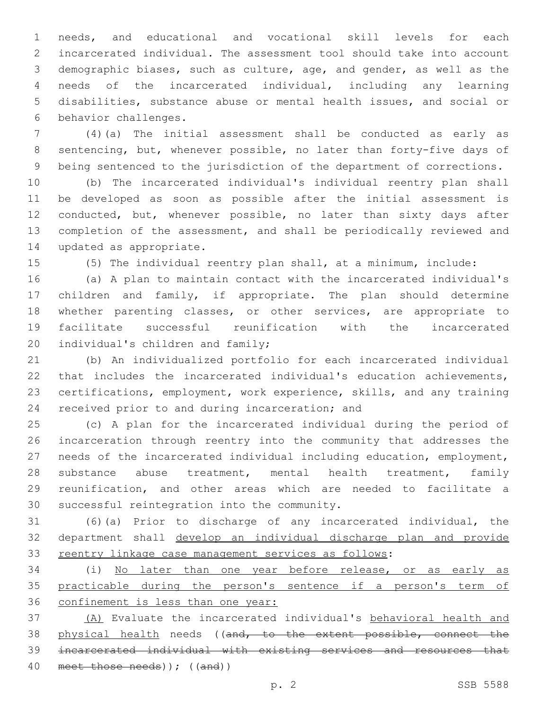needs, and educational and vocational skill levels for each incarcerated individual. The assessment tool should take into account demographic biases, such as culture, age, and gender, as well as the needs of the incarcerated individual, including any learning disabilities, substance abuse or mental health issues, and social or 6 behavior challenges.

 (4)(a) The initial assessment shall be conducted as early as sentencing, but, whenever possible, no later than forty-five days of being sentenced to the jurisdiction of the department of corrections.

 (b) The incarcerated individual's individual reentry plan shall be developed as soon as possible after the initial assessment is conducted, but, whenever possible, no later than sixty days after completion of the assessment, and shall be periodically reviewed and 14 updated as appropriate.

(5) The individual reentry plan shall, at a minimum, include:

 (a) A plan to maintain contact with the incarcerated individual's children and family, if appropriate. The plan should determine whether parenting classes, or other services, are appropriate to facilitate successful reunification with the incarcerated 20 individual's children and family;

 (b) An individualized portfolio for each incarcerated individual that includes the incarcerated individual's education achievements, certifications, employment, work experience, skills, and any training 24 received prior to and during incarceration; and

 (c) A plan for the incarcerated individual during the period of incarceration through reentry into the community that addresses the needs of the incarcerated individual including education, employment, substance abuse treatment, mental health treatment, family reunification, and other areas which are needed to facilitate a 30 successful reintegration into the community.

 (6)(a) Prior to discharge of any incarcerated individual, the department shall develop an individual discharge plan and provide reentry linkage case management services as follows:

 (i) No later than one year before release, or as early as practicable during the person's sentence if a person's term of confinement is less than one year:

 (A) Evaluate the incarcerated individual's behavioral health and 38 physical health needs ((and, to the extent possible, connect the incarcerated individual with existing services and resources that meet those needs)); ((and))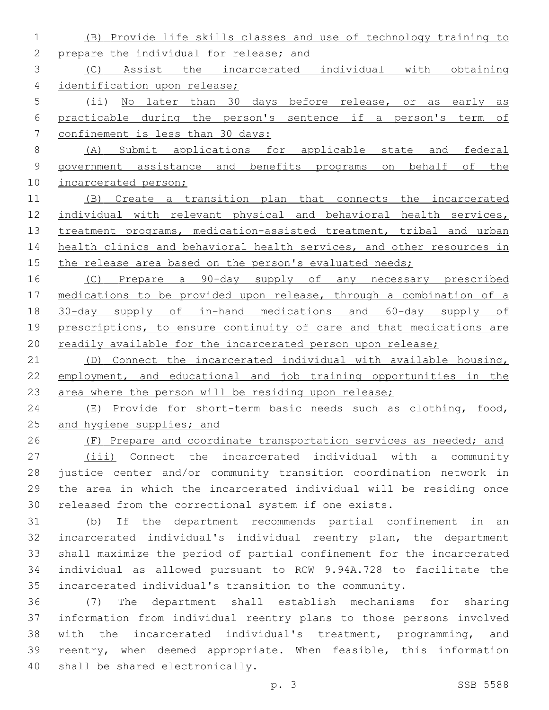(B) Provide life skills classes and use of technology training to 2 prepare the individual for release; and (C) Assist the incarcerated individual with obtaining identification upon release; (ii) No later than 30 days before release, or as early as practicable during the person's sentence if a person's term of confinement is less than 30 days: (A) Submit applications for applicable state and federal government assistance and benefits programs on behalf of the 10 incarcerated person; (B) Create a transition plan that connects the incarcerated individual with relevant physical and behavioral health services, 13 treatment programs, medication-assisted treatment, tribal and urban 14 health clinics and behavioral health services, and other resources in 15 the release area based on the person's evaluated needs; (C) Prepare a 90-day supply of any necessary prescribed medications to be provided upon release, through a combination of a 30-day supply of in-hand medications and 60-day supply of 19 prescriptions, to ensure continuity of care and that medications are 20 readily available for the incarcerated person upon release; (D) Connect the incarcerated individual with available housing, employment, and educational and job training opportunities in the 23 area where the person will be residing upon release; (E) Provide for short-term basic needs such as clothing, food, 25 and hygiene supplies; and (F) Prepare and coordinate transportation services as needed; and 27 (iii) Connect the incarcerated individual with a community justice center and/or community transition coordination network in the area in which the incarcerated individual will be residing once released from the correctional system if one exists. (b) If the department recommends partial confinement in an incarcerated individual's individual reentry plan, the department shall maximize the period of partial confinement for the incarcerated individual as allowed pursuant to RCW 9.94A.728 to facilitate the

 (7) The department shall establish mechanisms for sharing information from individual reentry plans to those persons involved with the incarcerated individual's treatment, programming, and reentry, when deemed appropriate. When feasible, this information 40 shall be shared electronically.

incarcerated individual's transition to the community.